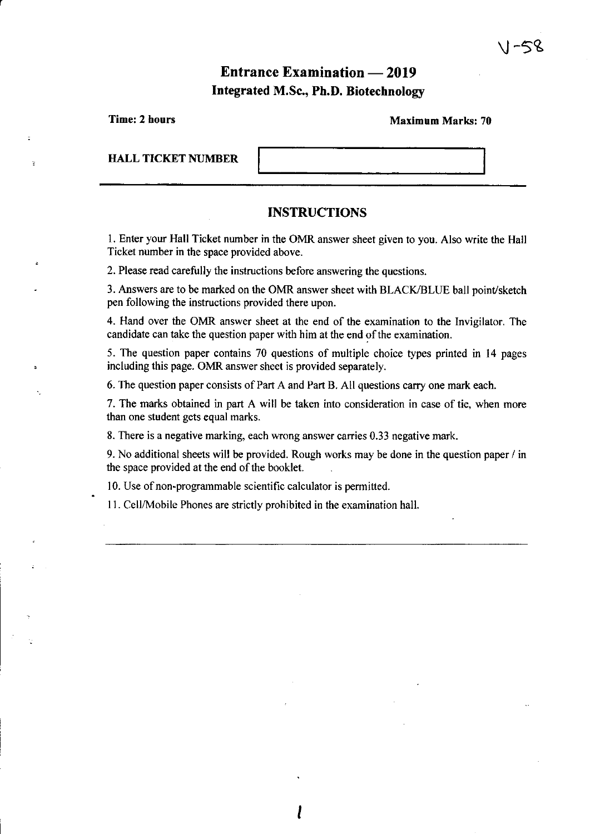# **Entrance Examination — 2019 Integrated M.Sc., Ph.D. Biotechnology**

| Time: 2 hours             | <b>Maximum Marks: 70</b> |  |  |  |
|---------------------------|--------------------------|--|--|--|
| <b>HALL TICKET NUMBER</b> |                          |  |  |  |
|                           | <b>INSTRUCTIONS</b>      |  |  |  |

1. Enter your Hall Ticket number in the OMR answer sheet given to you. Also write the Hall Ticket number in the space provided above.

2. Please read carefully the instructions before answering the questions.

r

3. Answers are to be marked on the OMR answer sheet with BLACK/BLUE ball point/sketch pen following the instructions provided there upon.

4. Hand over the OMR answer sheet at the end of the examination to the Invigilator. The candidate can take the question paper with him at the end of the examination.

5. The question paper contains 70 questions of multiple choice types printed in 14 pages including this page. OMR answer sheet is provided separately.

6. The question paper consists of Part A and Part B. All questions carry one mark each.

I

7. The marks obtained in part A will be taken into consideration in case of tie, when more than one student gets equal marks.

8. There is a negative marking, each wrong answer carries 0.33 negative mark.

9. No additional sheets will be provided. Rough works may be done in the question paper / in the space provided at the end of the booklet.

10. Use of non-programmable scientific calculator is permitted.

11. CelllMobile Phones are strictly prohibited in the examination hall.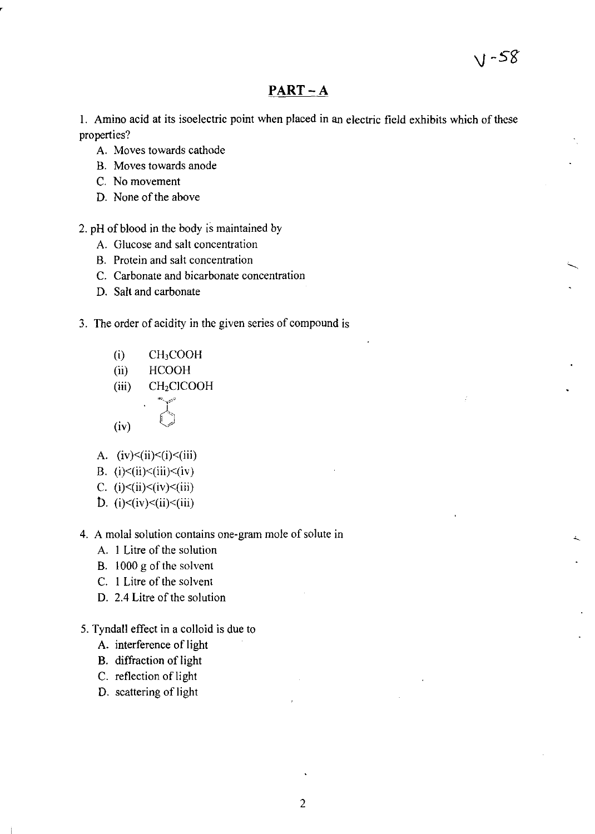## **PART-A**

I. Amino acid at its isoelectric point when placed in an electric field exhibits which of these properties?

- A. Moves towards cathode
- B. Moves towards anode
- C. No movement
- D. None of the above

#### 2. pH of blood in the body is maintained by

- A. Glucose and salt concentration
- B. Protein and salt concentration
- C. Carbonate and bicarbonate concentration
- D. Salt and carbonate
- 3. The order of acidity in the given series of compound is
	- $(i)$  CH<sub>3</sub>COOH
	- (ii) HCOOH
	- (iii) CH<sub>2</sub>CICOOH

$$
(iv) \qquad \qquad \bullet
$$

- A.  $(iv)\leq(i)\leq(i)\leq(iii)$
- B. (i) $\leq$ (ii) $\leq$ (iii) $\leq$ (iv)
- C. (i)<(ii)<(iv)<(iii)
- D.  $(i)$  < $(iv)$  < $(ii)$  < $(iii)$
- 4. A molal solution contains one-gram mole of solute in
	- A. I Litre of the solution
	- B. 1000 g of the solvent
	- C. I Litre of the solvent
	- D. 2.4 Litre of the solution
- 5. Tyndall effect in a colloid is due to
	- A. interference of light
	- B. diffraction of light
	- C. reflection of light
	- D. scattering of light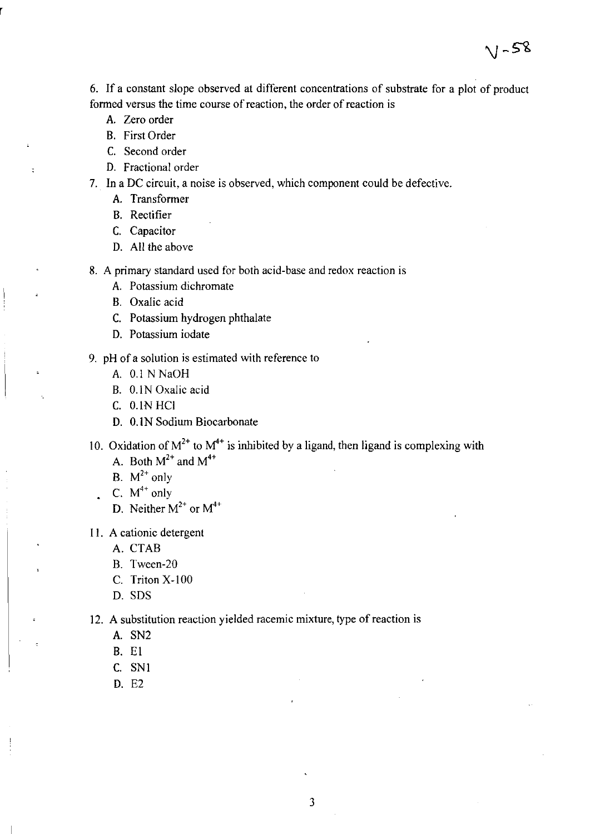6. If a constant slope observed at different concentrations of substrate for a plot of product formed versus the time course of reaction, the order of reaction is

 $1 - 58$ 

- A. Zero order
- B. First Order

 $\overline{a}$ 

- C. Second order
- D. Fractional order
- 7. In a DC circuit, a noise is observed, which component could be defective.
	- A. Transformer
	- B. Rectifier
	- C. Capacitor
	- D. All the above
- 8. A primary standard used for both acid-base and redox reaction is
	- A. Potassium dichromate
	- B. Oxalic acid
	- C. Potassium hydrogen phthalate
	- D. Potassium iodate
- 9. pH of a solution is estimated with reference to
	- A. 0.1 N NaOH
	- B. 0.1N Oxalic acid
	- C. O.lN HCI
	- D. O.lN Sodium Biocarbonate
- 10. Oxidation of  $M^{2+}$  to  $M^{4+}$  is inhibited by a ligand, then ligand is complexing with A. Both  $M^{2+}$  and  $M^{4+}$ 
	- B.  $M^{2+}$  only
	- C.  $M^{4+}$  only  $\mathbf{r}$ 
		- D. Neither  $M^{2+}$  or  $M^{4+}$
- II. A cationic detergent
	- A. CTAB
	- B. Tween-20
	- C. Triton X-100
	- D. SDS
- 12. A substitution reaction yielded racemic mixture, type of reaction is
	- A. SN2
	- B. El
	- C. SNI
	- D. E2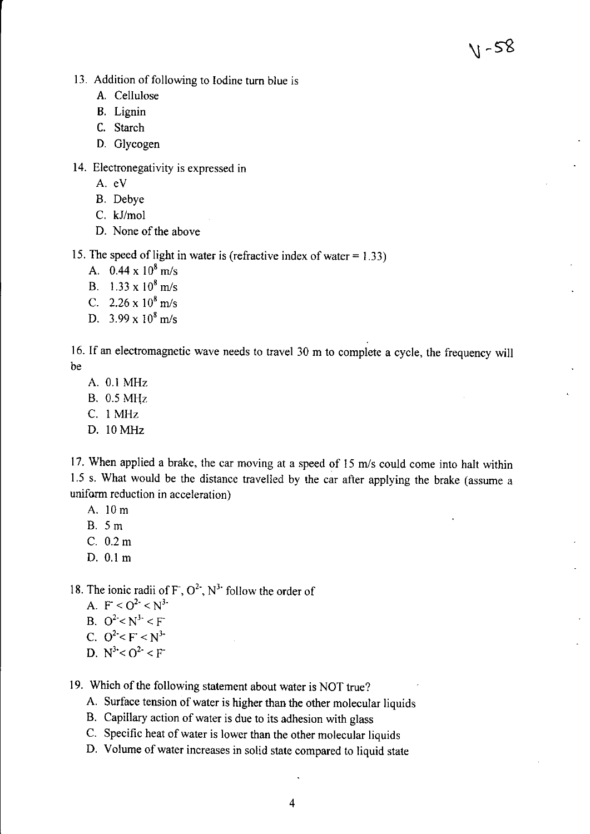$V - 58$ 

- 13. Addition of following to Iodine turn blue is
	- A. Cellulose
	- B. Lignin
	- C. Starch
	- D. Glycogen
- 14. Electronegativity is expressed in
	- A. eV
	- B. Debye
	- C. kJ/mol
	- D. None of the above

15. The speed of light in water is (refractive index of water  $= 1.33$ )

- A.  $0.44 \times 10^8$  m/s
- B.  $1.33 \times 10^8$  m/s
- C.  $2.26 \times 10^8$  m/s
- D. 3.99 x 10<sup>8</sup>*mls*

16. If an electromagnetic wave needs to travel 30 m to complete a cycle, the frequency wilJ be

- A. 0.1 MHz
- B. 0.5 MHz
- c. I MHz
- D. IOMHz

17. When applied a brake, the car moving at a speed of IS *mls* could come into halt within 1.5 s. What would be the distance travelled by the car after applying the brake (assume a uniform reduction in acceleration)

- A. 10 m
- B. 5 m
- C.O.2m
- D. 0.1 m

18. The ionic radii of  $F$ ,  $O<sup>2</sup>$ ,  $N<sup>3</sup>$  follow the order of

- A.  $F < O^2 < N^3$
- B.  $Q^2 < N^3 < F$
- C.  $Q^2 < F < N^3$
- D.  $N^3 < O^2 < F$
- 19. Which of the following statement about water is NOT true?
	- A. Surface tension of water is higher than the other molecular liquids
	- B. CapilJary action of water is due to its adhesion with glass
	- C. Specific heat of water is lower than the other molecular liquids
	- D. Volume of water increases in solid state compared to liquid state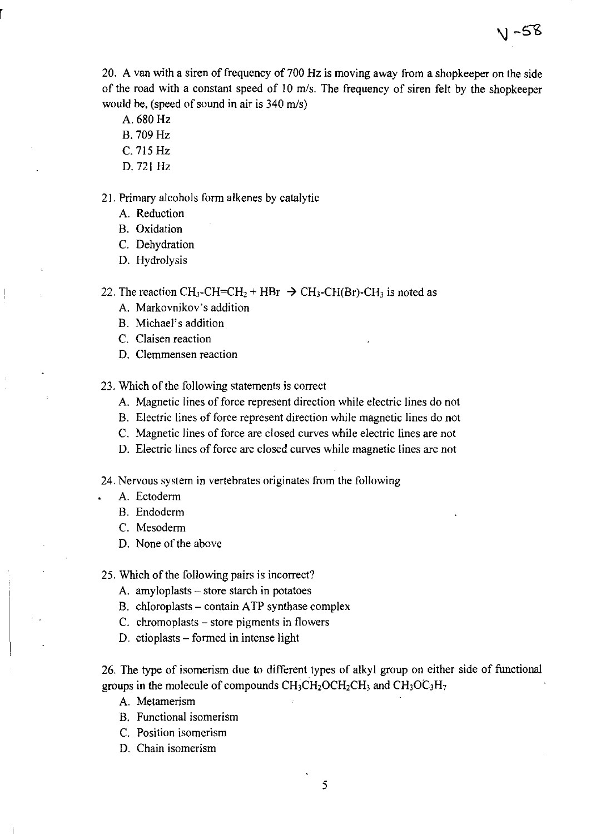20. A van with a siren of frequency of 700 Hz is moving away from a shopkeeper on the side of the road with a constant speed of 10 *mls.* The frequency of siren felt by the shopkeeper would be, (speed of sound in air is 340 *mls)* 

- A. 680 Hz
- B. 709 Hz
- C. 715 Hz
- D. 721 Hz

21. Primary alcohols form alkenes by catalytic

- A. Reduction
- B. Oxidation
- C. Dehydration
- D. Hydrolysis

22. The reaction CH<sub>3</sub>-CH=CH<sub>2</sub> + HBr  $\rightarrow$  CH<sub>3</sub>-CH(Br)-CH<sub>3</sub> is noted as

- A. Markovnikov's addition
- B. Michael's addition
- C. Claisen reaction
- D. Clemmensen reaction
- 23. Which of the following statements is correct
	- A. Magnetic lines of force represent direction while electric lines do not
	- B. Electric lines of force represent direction while magnetic lines do not
	- C. Magnetic lines of force are closed curves while electric lines are not
	- D. Electric lines of force are closed curves while magnetic lines are not
- 24. Nervous system in vertebrates originates from the following
	- A. Ectoderm
	- B. Endoderm
	- C. Mesoderm
	- D. None of the above
- 25. Which of the following pairs is incorrect?
	- A. amyloplasts store starch in potatoes
	- B. chloroplasts contain ATP synthase complex
	- C. chromoplasts store pigments in flowers
	- D. etioplasts formed in intense light

26. The type of isomerism due to different types of alkyl group on either side of functional groups in the molecule of compounds  $CH_3CH_2OCH_2CH_3$  and  $CH_3OC_3H_7$ 

- A. Metamerism
- B. Functional isomerism
- C. Position isomerism
- D. Chain isomerism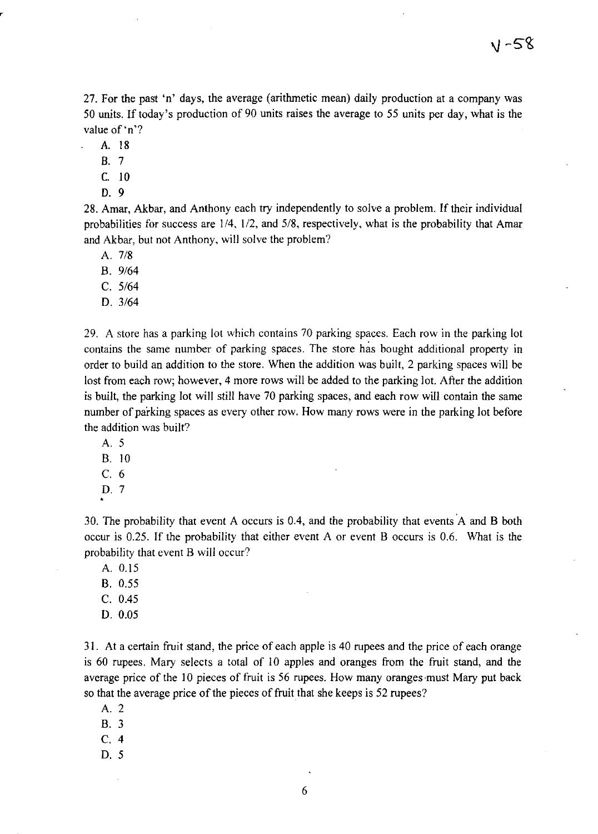27. For the past 'n' days, the average (arithmetic mean) daily production at a company was 50 units. If today's production of 90 units raises the average to 55 units per day, what is the value of 'n'?

A. 18

B. 7

C. 10

D. 9

28. Amar, Akbar, and Anthony each try independently to solve a problem. If their individual probabilities for success are  $1/4$ ,  $1/2$ , and  $5/8$ , respectively, what is the probability that Amar and Akbar, but not Anthony, will solve the problem?

A. 7/8

B. *9/64* 

C. *5/64* 

D. *3/64* 

29. A store has a parking lot which contains 70 parking spaces. Each row in the parking lot contains the same number of parking spaces. The store has bought additional property in order to build an addition to the store. When the addition was built, 2 parking spaces will be lost from each row; however, 4 more rows will be added to the parking lot. After the addition is built, the parking lot will still have 70 parking spaces, and each row will contain the same number of parking spaces as every other row. How many rows were in the parking lot before the addition was built?

- A. 5
- B. 10
- C. 6
- D. 7

30. The probability that event A occurs is 0.4, and the probability that events A and B both occur is 0.25. If the probability that either event A or event B occurs is 0.6. What is the probability that event B will occur?

A. 0.15

- B. 0.55
- C. 0.45
- D.0.05

31. At a certain fruit stand, the price of each apple is 40 rupees and the price of each orange is 60 rupees. Mary selects a total of 10 apples and oranges from the fruit stand, and the average price of the 10 pieces of fruit is 56 rupees. How many oranges must Mary put back so that the average price of the pieces of fruit that she keeps is 52 rupees?

- A. 2
- B. 3
- C. 4
- D. 5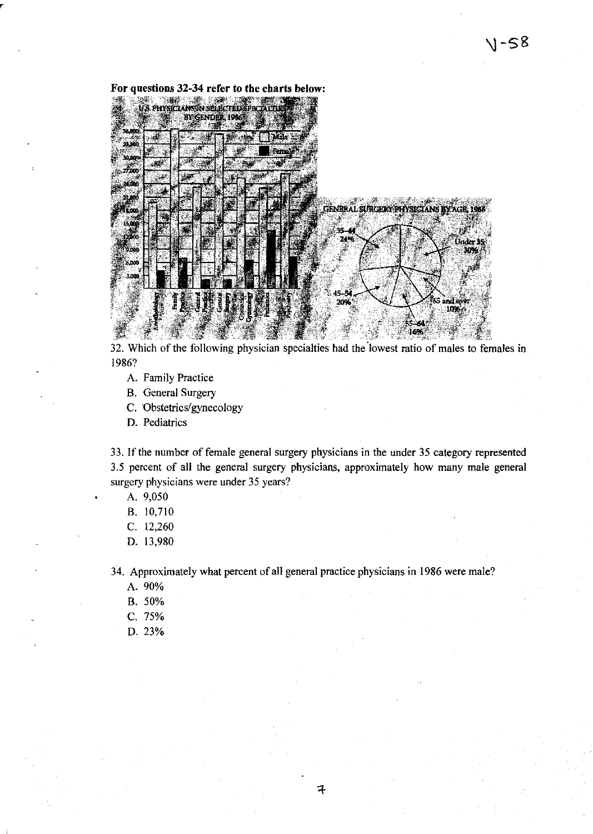| 36,000<br>39.DO | Male                |       |                                                |                 |
|-----------------|---------------------|-------|------------------------------------------------|-----------------|
| 30,000 c        | Female <sup>3</sup> |       |                                                |                 |
| 27.000          |                     |       |                                                |                 |
| 24.000          |                     |       |                                                |                 |
| 21,400          |                     |       |                                                |                 |
| 1,000           |                     |       | <b>GENERAL SURGERY PHYSICIANS BY AGE, 1988</b> |                 |
| 15,000          |                     | 37-44 |                                                |                 |
| 12,080          |                     | 74%   |                                                | <b>Under 35</b> |
| 9,000           |                     |       |                                                | 30%.            |
| 6,000           |                     |       |                                                |                 |
| 1,000           |                     |       |                                                |                 |
|                 |                     | 45-54 |                                                |                 |

32. Which of the following physician specialties had the lowest ratio of males to females in 1986?

- A. Family Practice
- B. General Surgery
- C. 'Obstetrics/gynecology
- D. Pediatrics

33. If the number of female general surgery physicians in the under 35 category represented 3.5 percent of all the general surgery physicians, approximately how many male general surgery physicians were under 35 years?

- A. 9,050
- B. 10,710
- C. 12,260
- D. 13,980

34. Approximately what percent of all general practice physicians in 1986 were male?

- A.90%
- B. 50%
- C. 75%
- D.23%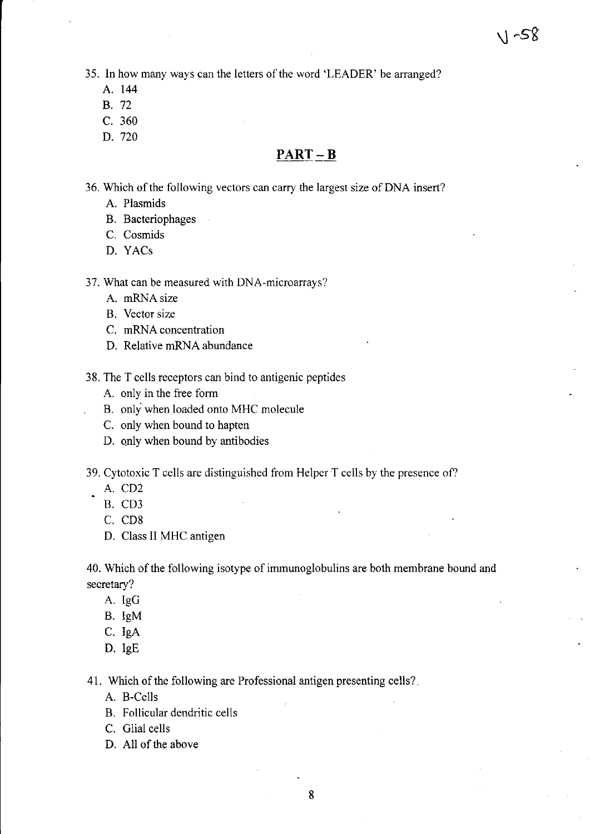35. **In** how many ways can the letters of the word 'LEADER' be arranged?

- A. **144**
- B. 72
- C. 360
- D. 720

# **PART-B**

36. Which of the following vectors can carry the largest size of DNA insert?

- A. Plasmids
- B. Bacteriophages
- C. Cosmids
- D. YACs

37. What can be measured with DNA-microarrays?

- A. mRNAsize
- B. Vector size
- C. mRNA concentration
- D. Relative mRNA abundance

38. The T cells receptors can bind to antigenic peptides

- A. only in the free form
- B. only when loaded onto MHC molecule
- C. only when bound to hapten
- D. only when bound by antibodies
- 39. Cytotoxic T cells are distinguished from Helper T cells by the presence of?
	- A. CD2
	- B. CD3
	- C. CD8
	- D. Class II MHC antigen

40. Which of the following isotype of immunoglobulins are both membrane bound and secretary?

- A. IgG
- B. IgM
- C. JgA
- D. IgE

41. Which of the following are Professional antigen presenting cells? .

- A. B-Cells
- B. Follicular dendritic cells
- C. Glial cells
- D. All of the above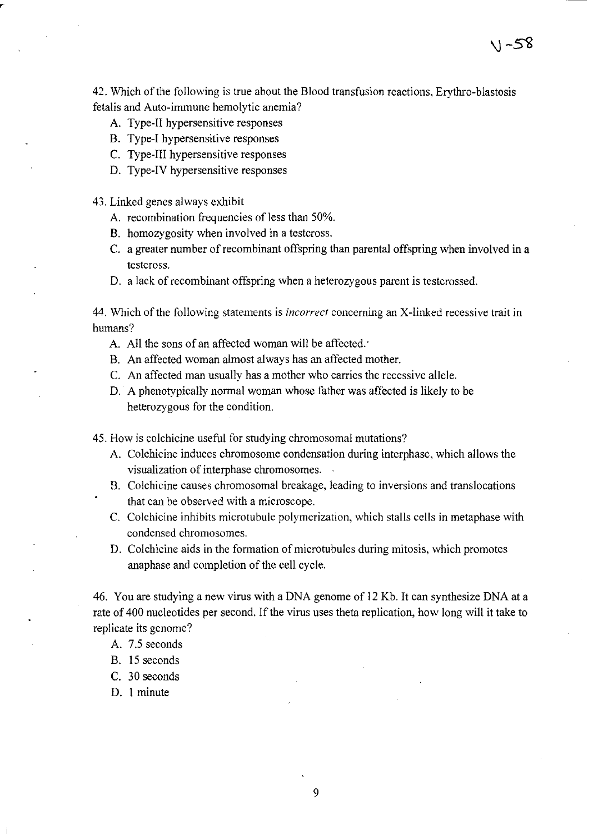42. Which of the following is true about the Blood transfusion reactions, Erythro-blastosis fetalis and Auto-immune hemolytic anemia?

\j -sS

- A. Type-II hypersensitive responses
- B. Type-I hypersensitive responses
- C. Type-IJI hypersensitive responses
- D. Type-IV hypersensitive responses
- 43. Linked genes always exhibit
	- A. recombination frequencies of less than 50%.
	- B. homozygosity when involved in a testcross.
	- C. a greater number of recombinant offspring than parental offspring when involved in a testcross.
	- D. a lack of recombinant offspring when a heterozygous parent is testcrossed.

44. Which of the following statements is *incorrect* concerning an X-linked recessive trait in humans?

- A. All the sons of an affected woman will be affected.
- B. An affected woman almost always has an affected mother.
- C. An affected man usually has a mother who carries the recessive allele.
- D. A phenotypically normal woman whose father was affected is likely to be heterozygous for the condition.

45. How is colchicine useful for studying chromosomal mutations?

- A. Colchicine induces chromosome condensation during interphase, which allows the visualization of interphase chromosomes.
- B. Colchicine causes chromosomal breakage, leading to inversions and translocations that can be observed with a microscope.
- C. Colchicine inhibits microtubule polymerization, which stalls cells in metaphase with condensed chromosomes.
- D. Colchicine aids in the formation of microtubules during mitosis, which promotes anaphase and completion of the cell cycle.

46. You are studying a new virus with a DNA genome of 12 Kb. It can synthesize DNA at a rate of 400 nucleotides per second. If the virus uses theta replication, how long will it take to replicate its genome?

- A. 7.5 seconds
- B. 15 seconds
- C. 30 seconds
- D. I minute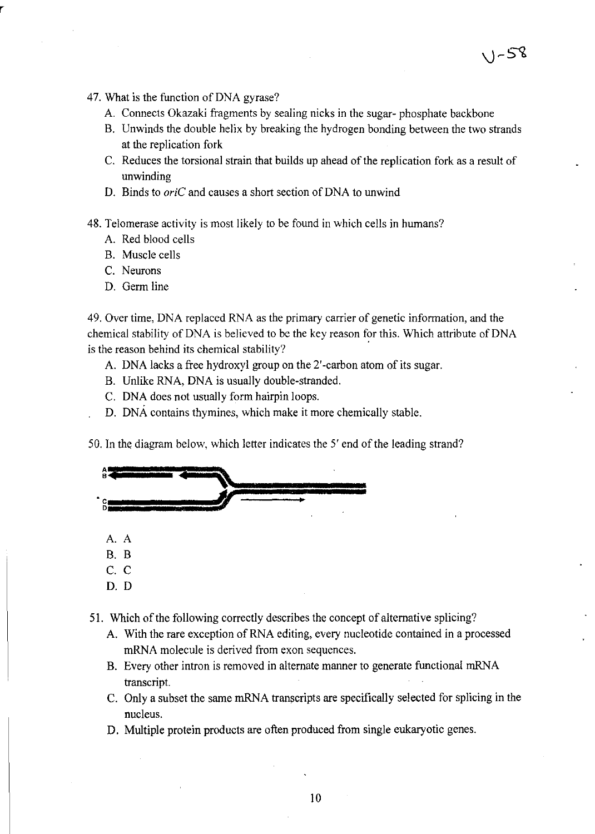- 47. What is the function of DNA gyrase?
	- A. Connects Okazaki fragments by sealing nicks in the sugar- phosphate backbone
	- B. Unwinds the double helix by breaking the hydrogen bonding between the two strands at the replication fork

 $V - 58$ 

- C. Reduces the torsional strain that builds up ahead of the replication fork as a result of unwinding
- D. Binds to *oriC* and causes a short section of DNA to unwind
- 48. Telomerase activity is most likely to be found in which cells in humans?
	- A. Red blood cells
	- B. Muscle cells
	- C. Neurons
	- D. Germ line

49. Over time, DNA replaced RNA as the primary carrier of genetic information, and the chemical stability of DNA is believed to be the key reason for this. Which attribute of DNA is the reason behind its chemical stability?

- A. DNA lacks a free hydroxyl group on the 2' -carbon atom of its sugar.
- B. Unlike RNA, DNA is usually double-stranded.
- C. DNA does not usually form hairpin loops.
- D. DNA contains thymines, which make it more chemically stable.

50. In the diagram below, which letter indicates the 5' end of the leading strand?

| в              |  |
|----------------|--|
| <b>CORPORA</b> |  |
| A. A           |  |
|                |  |
| B. B<br>C. C   |  |

- D. D
- 51. Which of the following correctly describes the concept of alternative splicing?
	- A. With the rare exception of RNA editing, every nucleotide contained in a processed mRNA molecule is derived from exon sequences.
	- B. Every other intron is removed in alternate manner to generate functional mRNA transcript.
	- C. Only a subset the same mRNA transcripts are specifically selected for splicing in the nucleus.
	- D. Multiple protein products are often produced from single eukaryotic genes.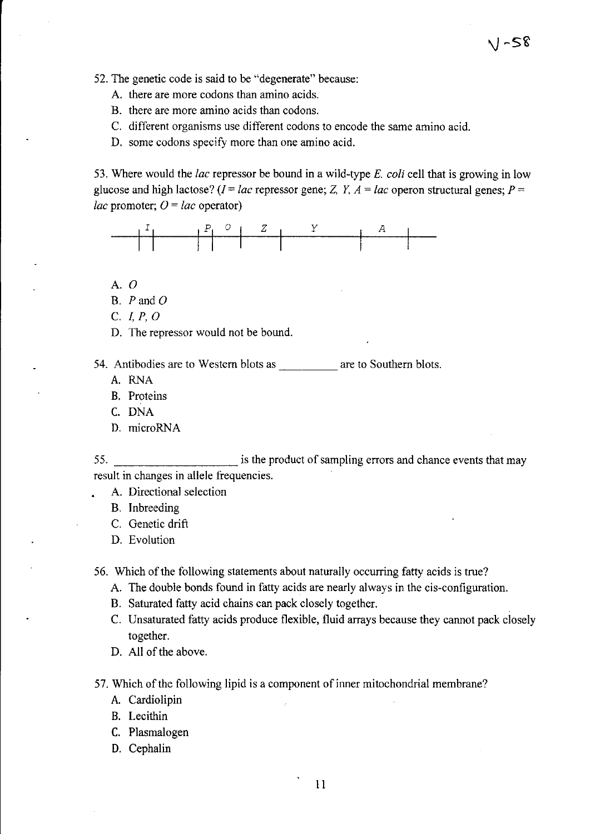52. The genetic code is said to be "degenerate" because:

- A. there are more codons than amino acids.
- B. there are more amino acids than codons.
- C. different organisms use different codons to encode the same amino acid.
- D. some codons specify more than one amino acid.

53. Where would the *lac* repressor be bound in a wild-type *E. coli* cell that is growing in low glucose and high lactose?  $(I = lac$  repressor gene; Z, Y,  $A = lac$  operon structural genes;  $P =$ *lac* promoter;  $Q = lac$  operator)

\1-58



- A.O
- B.  $P$  and  $O$
- C. L *P,* 0
- D. The repressor would not be bound.
- 54. Antibodies are to Western blots as are to Southern blots.
	- A. RNA
	- B. Proteins
	- C. DNA
	- D. microRNA

55. is the product of sampling errors and chance events that may result in changes in allele frequencies.

- A. Directional selection
- B. Inbreeding
- C. Genetic drift
- D. Evolution

56. Which of the following statements about naturally occurring fatty acids is true?

- A. The double bonds found in fatty acids are nearly always in the cis-configuration.
- B. Saturated fatty acid chains can pack closely together.
- C. Unsaturated fatty acids produce flexible, fluid arrays because they cannot pack closely together.
- D. All of the above.

57. Which of the following lipid is a component of inner mitochondrial membrane?

- A. Cardiolipin
- B. Lecithin
- C. Plasmalogen
- D. Cephalin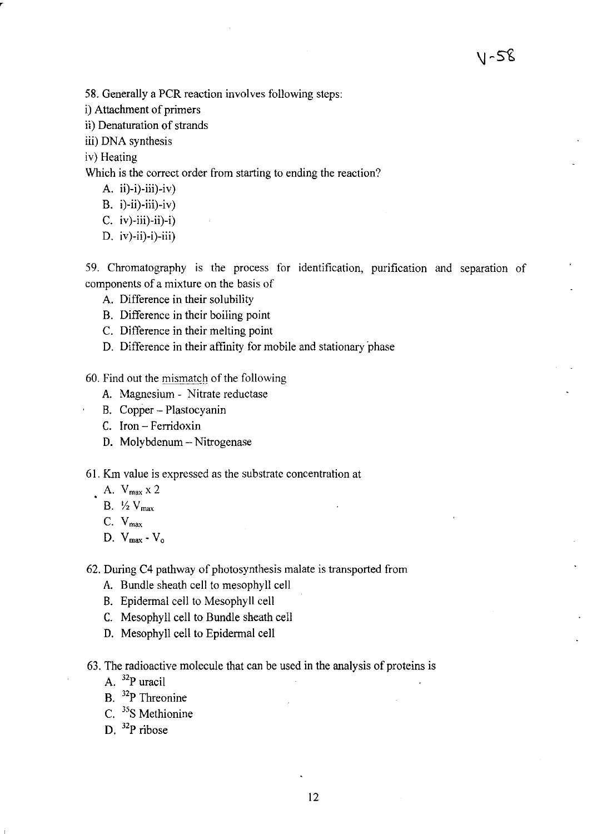58. Generally a PCR reaction involves following steps:

- i) Attachment of primers
- ii) Denaturation of strands
- iii) DNA synthesis

iv) Heating

,

Which is the correct order from starting to ending the reaction?

- A. ii)-i)-iii)-iv)
- B.  $i)$ -ii)-iii)-iv)
- C. iv)-iii)-ii)-i)
- D. iv)-ii)-i)-iii)

59. Chromatography is the process for identification, purification and separation of components of a mixture on the basis of

- A. Difference in their solubility
- B. Difference in their boiling point
- C. Difference in their melting point
- D. Difference in their affinity for mobile and stationary 'phase

60. Find out the mismatch of the following

- A. Magnesium Nitrate reductase
- B. Copper Plastocyanin
- C. Iron Ferridoxin
- D. Molybdenum Nitrogenase

61. Km value is expressed as the substrate concentration at

- $A. V_{max} x 2$ 
	- B.  $\frac{1}{2}$  V<sub>max</sub>
	- C. Vmax
	- D. Vmax-Vo

62. During C4 pathway of photosynthesis malate is transported from

- A. Bundle sheath cell to mesophyll cell
- B. Epidermal cell to Mesophyll cell
- C. Mesophy II cell to Bundle sheath cell
- D. Mesophyll cell to Epidermal cell
- 63. The radioactive molecule that can be used in the analysis of proteins is
	- A. 32p uracil
	- B. 32p Threonine
	- C. <sup>35</sup>S Methionine
	- D.  $32P$  ribose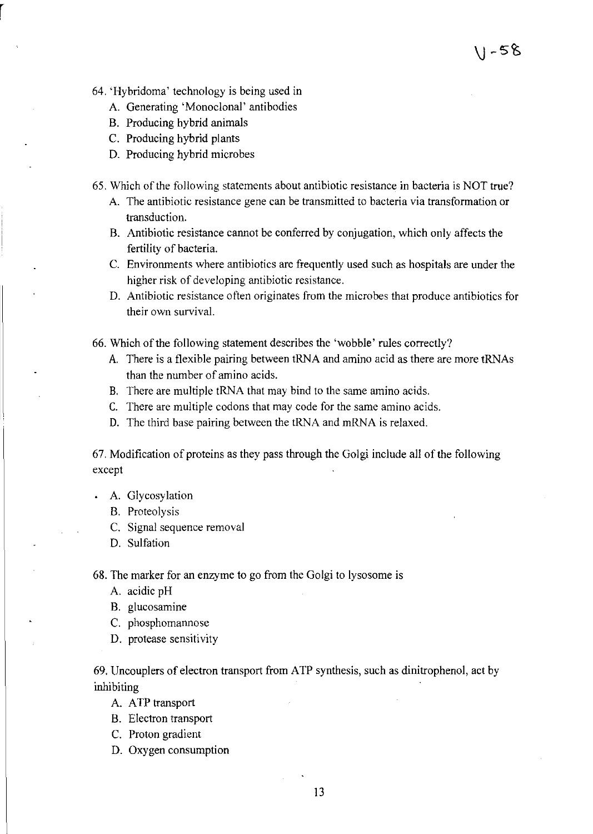- 64. 'Hybridoma' technology is being used in
	- A. Generating 'Monoclonal' antibodies
	- B. Producing hybrid animals
	- C. Producing hybrid plants
	- D. Producing hybrid microbes
- 65. Which of the following statements about antibiotic resistance in bacteria is NOT true?
	- A. The antibiotic resistance gene can be transmitted to bacteria via transformation or transduction.

11-58

- B. Antibiotic resistance cannot be conferred by conjugation, which only affects the fertility of bacteria.
- C. Environments where antibiotics are frequently used such as hospitals are under the higher risk of developing antibiotic resistance.
- D. Antibiotic resistance often originates from the microbes that produce antibiotics for their own survival.
- 66. Which of the following statement describes the 'wobble' rules correctly?
	- A. There is a flexible pairing between tRNA and amino acid as there are more tRNAs than the number of amino acids.
	- B. There are multiple tRNA that may bind to the same amino acids.
	- C. There are multiple codons that may code for the same amino acids.
	- D. The third base pairing between the tRNA and mRNA is relaxed.

67. Modification of proteins as they pass through the Golgi include all of the following except

- A. Glycosylation
	- B. Proteolysis
	- C. Signal sequence removal
	- D. Sulfation

68. The marker for an enzyme to go from the Golgi to lysosome is

- A. acidic pH
- B. glucosamine
- C. phosphomannose
- D. protease sensitivity

69. Uncouplers of electron transport from ATP synthesis, such as dinitrophenol, act by inhibiting

- A. ATP transport
- B. Electron transport
- C. Proton gradient
- D. Oxygen consumption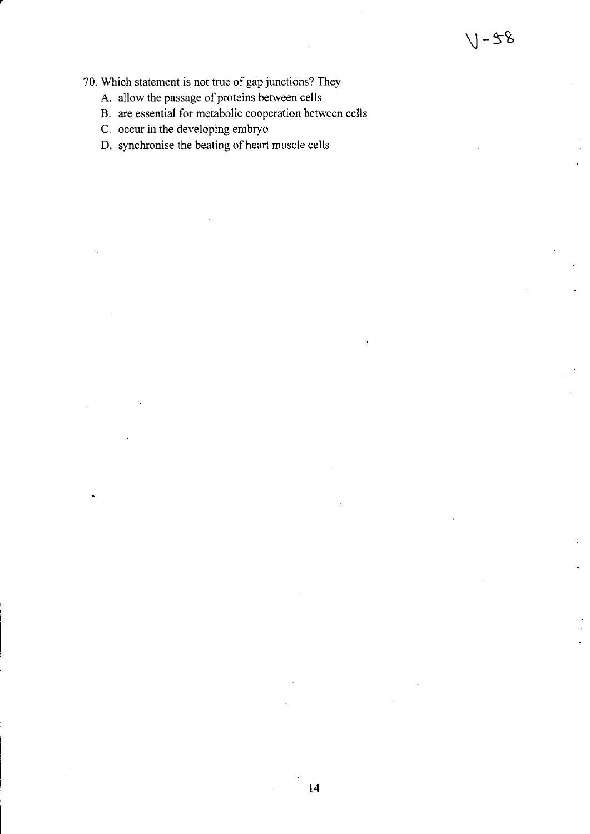- 70. Which statement is not true of gap junctions? They
	- A. allow the passage of proteins between cells
	- B. are essential for metabolic cooperation between cells
	- C. occur in the developing embryo
	- D. synchronise the beating of heart muscle cells